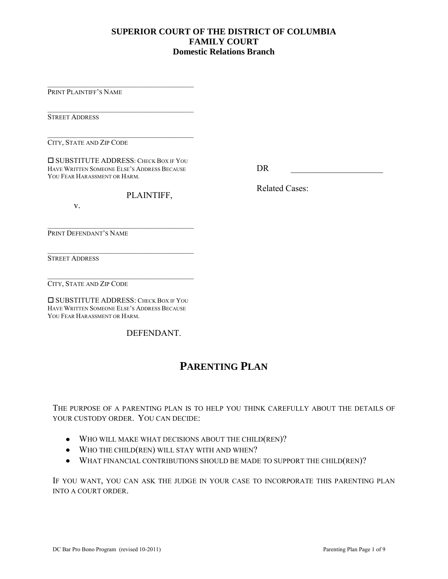#### **SUPERIOR COURT OF THE DISTRICT OF COLUMBIA FAMILY COURT Domestic Relations Branch**

PRINT PLAINTIFF'S NAME

**STREET ADDRESS** 

 $\mathcal{L}_\mathcal{L}$  , where  $\mathcal{L}_\mathcal{L}$  is the set of the set of the set of the set of the set of the set of the set of the set of the set of the set of the set of the set of the set of the set of the set of the set of the CITY, STATE AND ZIP CODE

**O SUBSTITUTE ADDRESS: CHECK BOX IF YOU** HAVE WRITTEN SOMEONE ELSE'S ADDRESS BECAUSE YOU FEAR HARASSMENT OR HARM.

 $\mathcal{L}_\mathcal{L}$  , where  $\mathcal{L}_\mathcal{L}$  is the set of the set of the set of the set of the set of the set of the set of the set of the set of the set of the set of the set of the set of the set of the set of the set of the

 $\mathcal{L}_\mathcal{L}$  , where  $\mathcal{L}_\mathcal{L}$  is the set of the set of the set of the set of the set of the set of the set of the set of the set of the set of the set of the set of the set of the set of the set of the set of the

 $\mathcal{L}_\mathcal{L}$  , where  $\mathcal{L}_\mathcal{L}$  is the set of the set of the set of the set of the set of the set of the set of the set of the set of the set of the set of the set of the set of the set of the set of the set of the

 $\mathcal{L}_\mathcal{L}$  , where  $\mathcal{L}_\mathcal{L}$  is the set of the set of the set of the set of the set of the set of the set of the set of the set of the set of the set of the set of the set of the set of the set of the set of the

\_\_\_\_\_\_\_\_\_\_\_\_\_\_\_\_\_\_\_\_\_\_\_\_\_\_\_\_\_\_\_\_\_\_\_\_\_\_\_\_

DR \_\_\_\_\_\_\_\_\_\_\_\_\_\_\_\_\_\_\_\_\_

Related Cases:

PLAINTIFF,

v.

PRINT DEFENDANT'S NAME

STREET ADDRESS

CITY, STATE AND ZIP CODE

 $\square$  **SUBSTITUTE ADDRESS: CHECK BOX IF YOU** HAVE WRITTEN SOMEONE ELSE'S ADDRESS BECAUSE YOU FEAR HARASSMENT OR HARM.

DEFENDANT.

### **PARENTING PLAN**

THE PURPOSE OF A PARENTING PLAN IS TO HELP YOU THINK CAREFULLY ABOUT THE DETAILS OF YOUR CUSTODY ORDER. YOU CAN DECIDE:

- WHO WILL MAKE WHAT DECISIONS ABOUT THE CHILD(REN)?
- WHO THE CHILD(REN) WILL STAY WITH AND WHEN?
- WHAT FINANCIAL CONTRIBUTIONS SHOULD BE MADE TO SUPPORT THE CHILD(REN)?

IF YOU WANT, YOU CAN ASK THE JUDGE IN YOUR CASE TO INCORPORATE THIS PARENTING PLAN INTO A COURT ORDER.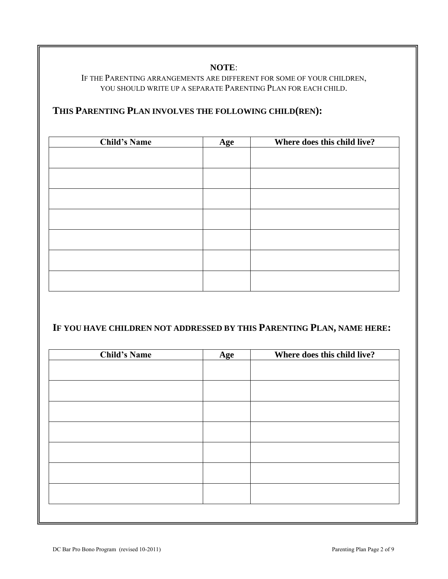#### **NOTE**:

#### IF THE PARENTING ARRANGEMENTS ARE DIFFERENT FOR SOME OF YOUR CHILDREN, YOU SHOULD WRITE UP A SEPARATE PARENTING PLAN FOR EACH CHILD.

### **THIS PARENTING PLAN INVOLVES THE FOLLOWING CHILD(REN):**

| <b>Child's Name</b> | Age | Where does this child live? |
|---------------------|-----|-----------------------------|
|                     |     |                             |
|                     |     |                             |
|                     |     |                             |
|                     |     |                             |
|                     |     |                             |
|                     |     |                             |
|                     |     |                             |
|                     |     |                             |
|                     |     |                             |
|                     |     |                             |
|                     |     |                             |
|                     |     |                             |
|                     |     |                             |
|                     |     |                             |

## **IF YOU HAVE CHILDREN NOT ADDRESSED BY THIS PARENTING PLAN, NAME HERE:**

| <b>Child's Name</b> | Age | Where does this child live? |
|---------------------|-----|-----------------------------|
|                     |     |                             |
|                     |     |                             |
|                     |     |                             |
|                     |     |                             |
|                     |     |                             |
|                     |     |                             |
|                     |     |                             |
|                     |     |                             |
|                     |     |                             |
|                     |     |                             |
|                     |     |                             |
|                     |     |                             |
|                     |     |                             |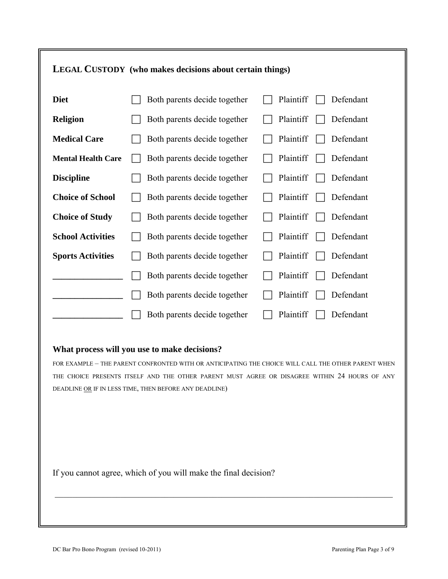## **LEGAL CUSTODY (who makes decisions about certain things)**

| <b>Diet</b>               | Both parents decide together | Plaintiff<br>Defendant |
|---------------------------|------------------------------|------------------------|
| <b>Religion</b>           | Both parents decide together | Defendant<br>Plaintiff |
| <b>Medical Care</b>       | Both parents decide together | Plaintiff<br>Defendant |
| <b>Mental Health Care</b> | Both parents decide together | Plaintiff<br>Defendant |
| <b>Discipline</b>         | Both parents decide together | Plaintiff<br>Defendant |
| <b>Choice of School</b>   | Both parents decide together | Plaintiff<br>Defendant |
| <b>Choice of Study</b>    | Both parents decide together | Plaintiff<br>Defendant |
| <b>School Activities</b>  | Both parents decide together | Plaintiff<br>Defendant |
| <b>Sports Activities</b>  | Both parents decide together | Plaintiff<br>Defendant |
|                           | Both parents decide together | Plaintiff<br>Defendant |
|                           | Both parents decide together | Plaintiff<br>Defendant |
|                           | Both parents decide together | Defendant<br>Plaintiff |

#### **What process will you use to make decisions?**

FOR EXAMPLE – THE PARENT CONFRONTED WITH OR ANTICIPATING THE CHOICE WILL CALL THE OTHER PARENT WHEN THE CHOICE PRESENTS ITSELF AND THE OTHER PARENT MUST AGREE OR DISAGREE WITHIN 24 HOURS OF ANY DEADLINE OR IF IN LESS TIME, THEN BEFORE ANY DEADLINE)

\_\_\_\_\_\_\_\_\_\_\_\_\_\_\_\_\_\_\_\_\_\_\_\_\_\_\_\_\_\_\_\_\_\_\_\_\_\_\_\_\_\_\_\_\_\_\_\_\_\_\_\_\_\_\_\_\_\_\_\_\_\_\_\_\_\_\_\_\_\_\_\_\_\_\_\_\_

If you cannot agree, which of you will make the final decision?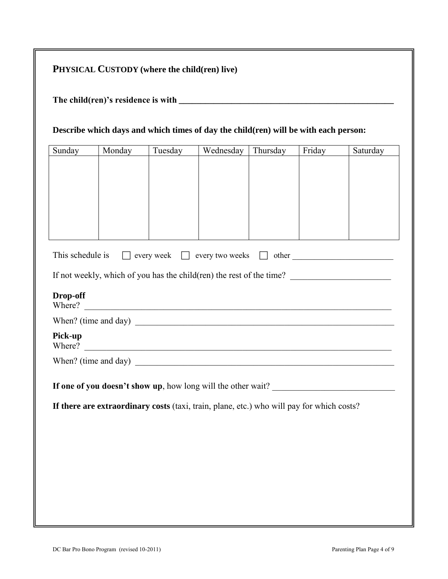**The child(ren)'s residence is with \_\_\_\_\_\_\_\_\_\_\_\_\_\_\_\_\_\_\_\_\_\_\_\_\_\_\_\_\_\_\_\_\_\_\_\_\_\_\_\_\_\_\_\_\_\_\_\_\_** 

#### **Describe which days and which times of day the child(ren) will be with each person:**

| Sunday                                                                                    | Monday | Tuesday | Wednesday                                                            | Thursday | Friday | Saturday |
|-------------------------------------------------------------------------------------------|--------|---------|----------------------------------------------------------------------|----------|--------|----------|
|                                                                                           |        |         |                                                                      |          |        |          |
|                                                                                           |        |         |                                                                      |          |        |          |
|                                                                                           |        |         |                                                                      |          |        |          |
|                                                                                           |        |         |                                                                      |          |        |          |
|                                                                                           |        |         |                                                                      |          |        |          |
|                                                                                           |        |         |                                                                      |          |        |          |
| This schedule is                                                                          |        |         | $\Box$ every week $\Box$ every two weeks $\Box$ other                |          |        |          |
|                                                                                           |        |         | If not weekly, which of you has the child(ren) the rest of the time? |          |        |          |
| Drop-off                                                                                  |        |         | Where?                                                               |          |        |          |
|                                                                                           |        |         |                                                                      |          |        |          |
| Pick-up                                                                                   |        |         |                                                                      |          |        |          |
|                                                                                           |        |         |                                                                      |          |        |          |
| If one of you doesn't show up, how long will the other wait?                              |        |         |                                                                      |          |        |          |
| If there are extraordinary costs (taxi, train, plane, etc.) who will pay for which costs? |        |         |                                                                      |          |        |          |
|                                                                                           |        |         |                                                                      |          |        |          |
|                                                                                           |        |         |                                                                      |          |        |          |
|                                                                                           |        |         |                                                                      |          |        |          |
|                                                                                           |        |         |                                                                      |          |        |          |
|                                                                                           |        |         |                                                                      |          |        |          |
|                                                                                           |        |         |                                                                      |          |        |          |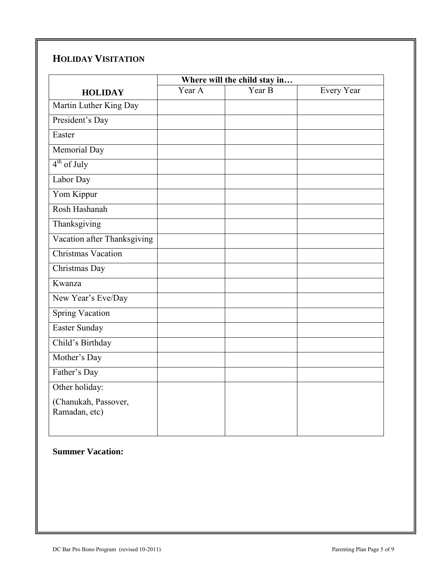## **HOLIDAY VISITATION**

|                             | Where will the child stay in |        |                   |
|-----------------------------|------------------------------|--------|-------------------|
| <b>HOLIDAY</b>              | Year A                       | Year B | <b>Every Year</b> |
| Martin Luther King Day      |                              |        |                   |
| President's Day             |                              |        |                   |
| Easter                      |                              |        |                   |
| Memorial Day                |                              |        |                   |
| $4th$ of July               |                              |        |                   |
| Labor Day                   |                              |        |                   |
| Yom Kippur                  |                              |        |                   |
| Rosh Hashanah               |                              |        |                   |
| Thanksgiving                |                              |        |                   |
| Vacation after Thanksgiving |                              |        |                   |
| <b>Christmas Vacation</b>   |                              |        |                   |
| Christmas Day               |                              |        |                   |
| Kwanza                      |                              |        |                   |
| New Year's Eve/Day          |                              |        |                   |
| <b>Spring Vacation</b>      |                              |        |                   |
| Easter Sunday               |                              |        |                   |
| Child's Birthday            |                              |        |                   |
| Mother's Day                |                              |        |                   |
| Father's Day                |                              |        |                   |
| Other holiday:              |                              |        |                   |
| (Chanukah, Passover,        |                              |        |                   |
| Ramadan, etc)               |                              |        |                   |
|                             |                              |        |                   |

### **Summer Vacation:**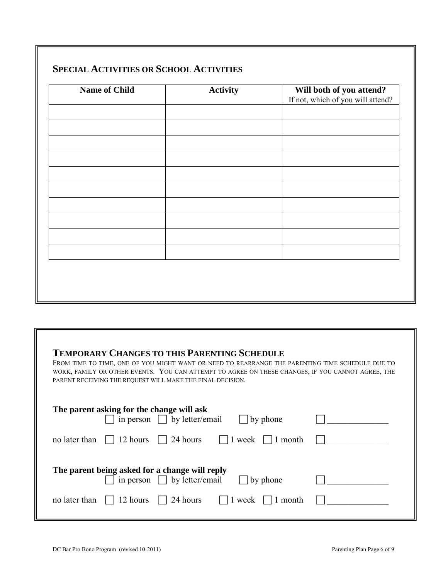| <b>Name of Child</b> | <b>Activity</b> | <b>Will both of you attend?</b><br>If not, which of you will attend? |
|----------------------|-----------------|----------------------------------------------------------------------|
|                      |                 |                                                                      |
|                      |                 |                                                                      |
|                      |                 |                                                                      |
|                      |                 |                                                                      |
|                      |                 |                                                                      |
|                      |                 |                                                                      |
|                      |                 |                                                                      |
|                      |                 |                                                                      |
|                      |                 |                                                                      |
|                      |                 |                                                                      |
|                      |                 |                                                                      |
|                      |                 |                                                                      |
|                      |                 |                                                                      |
|                      |                 |                                                                      |

| <b>TEMPORARY CHANGES TO THIS PARENTING SCHEDULE</b><br>FROM TIME TO TIME, ONE OF YOU MIGHT WANT OR NEED TO REARRANGE THE PARENTING TIME SCHEDULE DUE TO<br>WORK, FAMILY OR OTHER EVENTS. YOU CAN ATTEMPT TO AGREE ON THESE CHANGES, IF YOU CANNOT AGREE, THE<br>PARENT RECEIVING THE REQUEST WILL MAKE THE FINAL DECISION. |  |  |
|----------------------------------------------------------------------------------------------------------------------------------------------------------------------------------------------------------------------------------------------------------------------------------------------------------------------------|--|--|
| The parent asking for the change will ask<br>in person $\Box$ by letter/email<br>by phone                                                                                                                                                                                                                                  |  |  |
| 24 hours<br>no later than<br>12 hours<br>week<br>1 month                                                                                                                                                                                                                                                                   |  |  |
| The parent being asked for a change will reply<br>in person $\Box$ by letter/email<br>by phone                                                                                                                                                                                                                             |  |  |
| no later than<br>12 hours<br>24 hours<br>1 month<br>week                                                                                                                                                                                                                                                                   |  |  |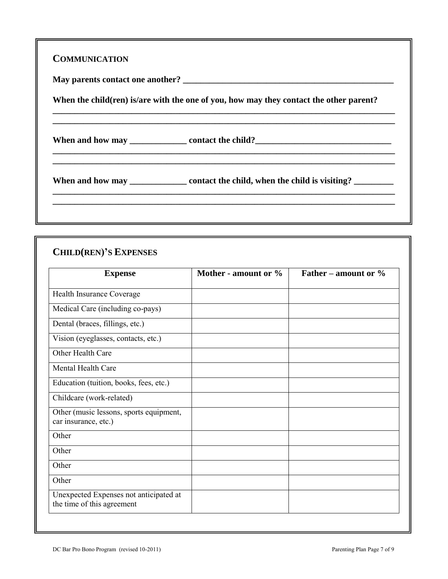| When the child (ren) is are with the one of you, how may they contact the other parent? |
|-----------------------------------------------------------------------------------------|
|                                                                                         |
|                                                                                         |

# **CHILD(REN)'S EXPENSES**

| <b>Expense</b>                                                       | Mother - amount or % | Father – amount or $\%$ |
|----------------------------------------------------------------------|----------------------|-------------------------|
| Health Insurance Coverage                                            |                      |                         |
| Medical Care (including co-pays)                                     |                      |                         |
| Dental (braces, fillings, etc.)                                      |                      |                         |
| Vision (eyeglasses, contacts, etc.)                                  |                      |                         |
| Other Health Care                                                    |                      |                         |
| <b>Mental Health Care</b>                                            |                      |                         |
| Education (tuition, books, fees, etc.)                               |                      |                         |
| Childcare (work-related)                                             |                      |                         |
| Other (music lessons, sports equipment,<br>car insurance, etc.)      |                      |                         |
| Other                                                                |                      |                         |
| Other                                                                |                      |                         |
| Other                                                                |                      |                         |
| Other                                                                |                      |                         |
| Unexpected Expenses not anticipated at<br>the time of this agreement |                      |                         |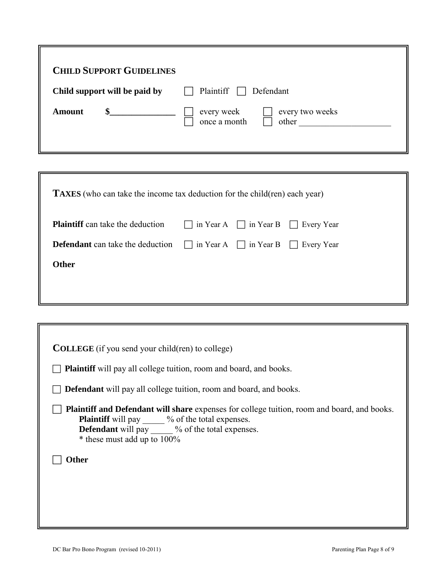| <b>CHILD SUPPORT GUIDELINES</b> |                                                        |
|---------------------------------|--------------------------------------------------------|
| Child support will be paid by   | Plaintiff $\Box$<br>Defendant                          |
| $\mathbf{s}$<br>Amount          | every two weeks<br>every week<br>once a month<br>other |

| <b>TAXES</b> (who can take the income tax deduction for the child(ren) each year)           |  |  |  |  |
|---------------------------------------------------------------------------------------------|--|--|--|--|
| <b>Plaintiff</b> can take the deduction $\Box$ in Year A $\Box$ in Year B $\Box$ Every Year |  |  |  |  |
| <b>Defendant</b> can take the deduction $\Box$ in Year A $\Box$ in Year B $\Box$ Every Year |  |  |  |  |
| <b>Other</b>                                                                                |  |  |  |  |
|                                                                                             |  |  |  |  |

| <b>COLLEGE</b> (if you send your child(ren) to college)                                                                                                                                                                                                |  |  |
|--------------------------------------------------------------------------------------------------------------------------------------------------------------------------------------------------------------------------------------------------------|--|--|
| <b>Plaintiff</b> will pay all college tuition, room and board, and books.                                                                                                                                                                              |  |  |
| <b>Defendant</b> will pay all college tuition, room and board, and books.                                                                                                                                                                              |  |  |
| <b>Plaintiff and Defendant will share</b> expenses for college tuition, room and board, and books.<br><b>Plaintiff</b> will pay _____ % of the total expenses.<br><b>Defendant</b> will pay $\%$ of the total expenses.<br>* these must add up to 100% |  |  |
| Other                                                                                                                                                                                                                                                  |  |  |
|                                                                                                                                                                                                                                                        |  |  |
|                                                                                                                                                                                                                                                        |  |  |
|                                                                                                                                                                                                                                                        |  |  |